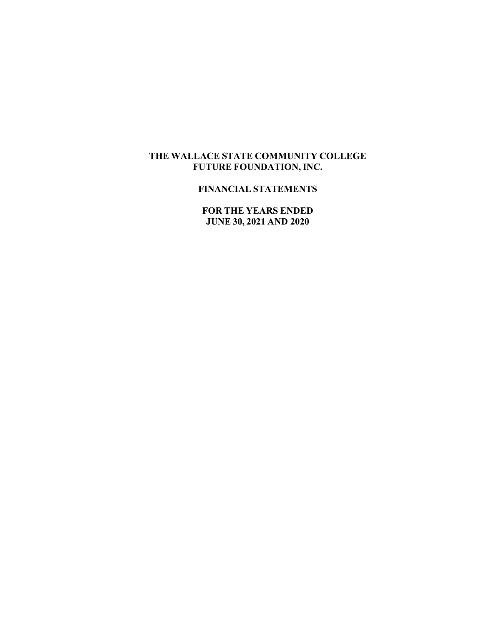## **THE WALLACE STATE COMMUNITY COLLEGE FUTURE FOUNDATION, INC.**

## **FINANCIAL STATEMENTS**

**FOR THE YEARS ENDED JUNE 30, 2021 AND 2020**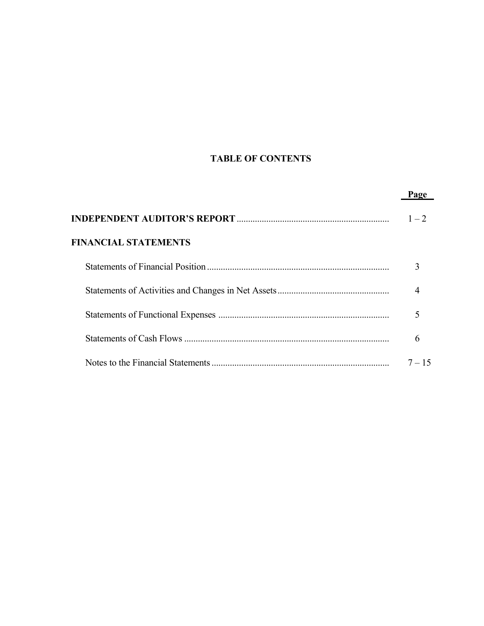# **TABLE OF CONTENTS**

|                             | Page     |
|-----------------------------|----------|
|                             | $1 - 2$  |
| <b>FINANCIAL STATEMENTS</b> |          |
|                             | 3        |
|                             | 4        |
|                             |          |
|                             | 6        |
|                             | $7 - 15$ |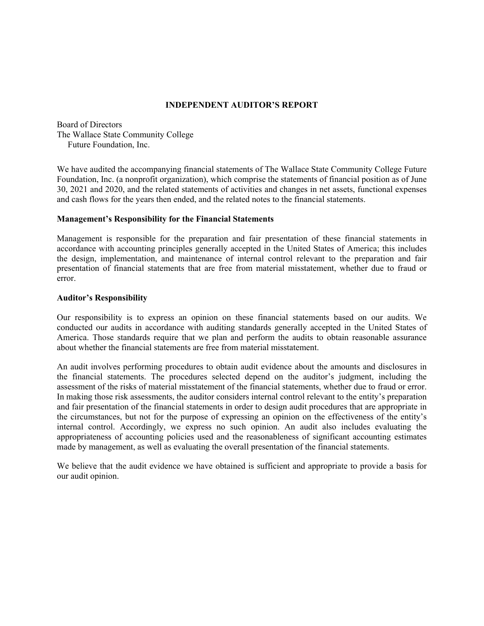#### **INDEPENDENT AUDITOR'S REPORT**

Board of Directors The Wallace State Community College Future Foundation, Inc.

We have audited the accompanying financial statements of The Wallace State Community College Future Foundation, Inc. (a nonprofit organization), which comprise the statements of financial position as of June 30, 2021 and 2020, and the related statements of activities and changes in net assets, functional expenses and cash flows for the years then ended, and the related notes to the financial statements.

#### **Management's Responsibility for the Financial Statements**

Management is responsible for the preparation and fair presentation of these financial statements in accordance with accounting principles generally accepted in the United States of America; this includes the design, implementation, and maintenance of internal control relevant to the preparation and fair presentation of financial statements that are free from material misstatement, whether due to fraud or error.

#### **Auditor's Responsibility**

Our responsibility is to express an opinion on these financial statements based on our audits. We conducted our audits in accordance with auditing standards generally accepted in the United States of America. Those standards require that we plan and perform the audits to obtain reasonable assurance about whether the financial statements are free from material misstatement.

An audit involves performing procedures to obtain audit evidence about the amounts and disclosures in the financial statements. The procedures selected depend on the auditor's judgment, including the assessment of the risks of material misstatement of the financial statements, whether due to fraud or error. In making those risk assessments, the auditor considers internal control relevant to the entity's preparation and fair presentation of the financial statements in order to design audit procedures that are appropriate in the circumstances, but not for the purpose of expressing an opinion on the effectiveness of the entity's internal control. Accordingly, we express no such opinion. An audit also includes evaluating the appropriateness of accounting policies used and the reasonableness of significant accounting estimates made by management, as well as evaluating the overall presentation of the financial statements.

We believe that the audit evidence we have obtained is sufficient and appropriate to provide a basis for our audit opinion.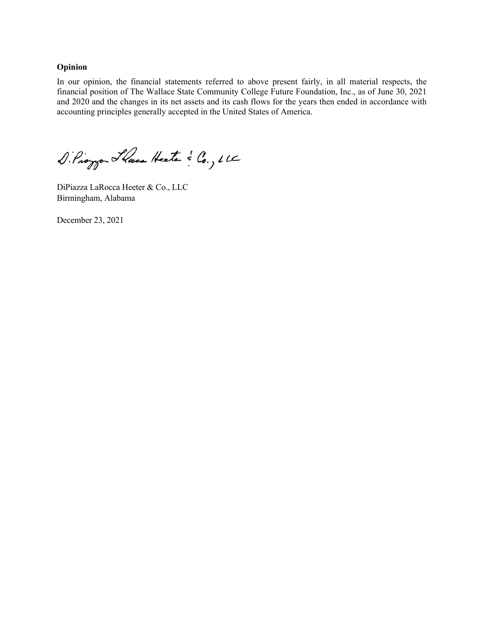#### **Opinion**

In our opinion, the financial statements referred to above present fairly, in all material respects, the financial position of The Wallace State Community College Future Foundation, Inc., as of June 30, 2021 and 2020 and the changes in its net assets and its cash flows for the years then ended in accordance with accounting principles generally accepted in the United States of America.

DiPioggo Hace Heater & Co., LLC

DiPiazza LaRocca Heeter & Co., LLC Birmingham, Alabama

December 23, 2021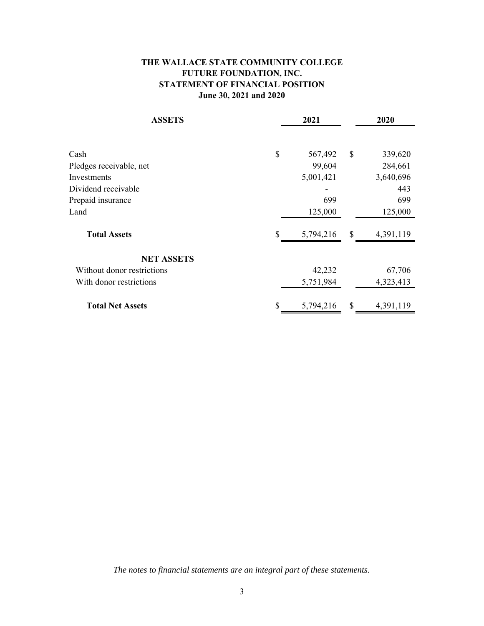## **THE WALLACE STATE COMMUNITY COLLEGE FUTURE FOUNDATION, INC. STATEMENT OF FINANCIAL POSITION June 30, 2021 and 2020**

| <b>ASSETS</b>              |    | 2021      |               | 2020      |
|----------------------------|----|-----------|---------------|-----------|
|                            |    |           |               |           |
| Cash                       | \$ | 567,492   | $\mathcal{S}$ | 339,620   |
| Pledges receivable, net    |    | 99,604    |               | 284,661   |
| Investments                |    | 5,001,421 |               | 3,640,696 |
| Dividend receivable        |    |           |               | 443       |
| Prepaid insurance          |    | 699       |               | 699       |
| Land                       |    | 125,000   |               | 125,000   |
| <b>Total Assets</b>        | S  | 5,794,216 | \$            | 4,391,119 |
| <b>NET ASSETS</b>          |    |           |               |           |
| Without donor restrictions |    | 42,232    |               | 67,706    |
| With donor restrictions    |    | 5,751,984 |               | 4,323,413 |
| <b>Total Net Assets</b>    |    | 5,794,216 | \$            | 4,391,119 |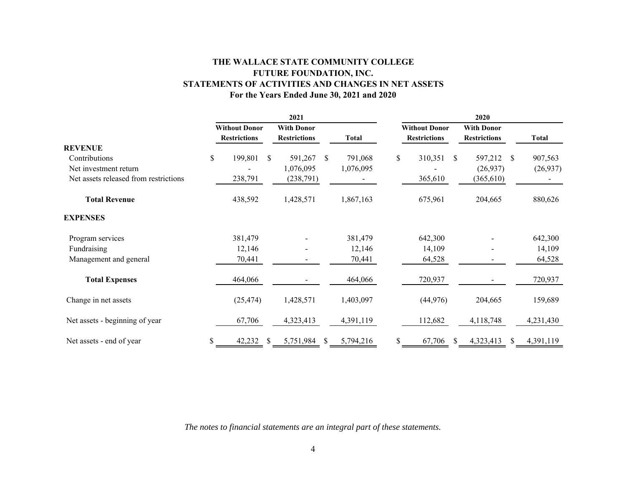## **THE WALLACE STATE COMMUNITY COLLEGE FUTURE FOUNDATION, INC. STATEMENTS OF ACTIVITIES AND CHANGES IN NET ASSETS For the Years Ended June 30, 2021 and 2020**

|                                       | 2021                 |                     |                   |                     |               |              | 2020                 |                     |               |                     |               |              |  |  |  |
|---------------------------------------|----------------------|---------------------|-------------------|---------------------|---------------|--------------|----------------------|---------------------|---------------|---------------------|---------------|--------------|--|--|--|
|                                       | <b>Without Donor</b> |                     | <b>With Donor</b> |                     |               |              | <b>Without Donor</b> | <b>With Donor</b>   |               |                     |               |              |  |  |  |
|                                       |                      | <b>Restrictions</b> |                   | <b>Restrictions</b> |               | <b>Total</b> |                      | <b>Restrictions</b> |               | <b>Restrictions</b> |               | <b>Total</b> |  |  |  |
| <b>REVENUE</b>                        |                      |                     |                   |                     |               |              |                      |                     |               |                     |               |              |  |  |  |
| Contributions                         | $\$$                 | 199,801             | <sup>\$</sup>     | 591,267             | \$            | 791,068      | \$                   | 310,351             | <sup>\$</sup> | 597,212             | <sup>\$</sup> | 907,563      |  |  |  |
| Net investment return                 |                      |                     |                   | 1,076,095           |               | 1,076,095    |                      |                     |               | (26,937)            |               | (26,937)     |  |  |  |
| Net assets released from restrictions |                      | 238,791             |                   | (238, 791)          |               |              |                      | 365,610             |               | (365, 610)          |               |              |  |  |  |
| <b>Total Revenue</b>                  |                      | 438,592             |                   | 1,428,571           |               | 1,867,163    |                      | 675,961             |               | 204,665             |               | 880,626      |  |  |  |
| <b>EXPENSES</b>                       |                      |                     |                   |                     |               |              |                      |                     |               |                     |               |              |  |  |  |
| Program services                      |                      | 381,479             |                   |                     |               | 381,479      |                      | 642,300             |               |                     |               | 642,300      |  |  |  |
| Fundraising                           |                      | 12,146              |                   |                     |               | 12,146       |                      | 14,109              |               |                     |               | 14,109       |  |  |  |
| Management and general                |                      | 70,441              |                   |                     |               | 70,441       |                      | 64,528              |               |                     |               | 64,528       |  |  |  |
| <b>Total Expenses</b>                 |                      | 464,066             |                   |                     |               | 464,066      |                      | 720,937             |               |                     |               | 720,937      |  |  |  |
| Change in net assets                  |                      | (25, 474)           |                   | 1,428,571           |               | 1,403,097    |                      | (44, 976)           |               | 204,665             |               | 159,689      |  |  |  |
| Net assets - beginning of year        |                      | 67,706              |                   | 4,323,413           |               | 4,391,119    |                      | 112,682             |               | 4,118,748           |               | 4,231,430    |  |  |  |
| Net assets - end of year              |                      | 42,232              | S.                | 5,751,984           | <sup>\$</sup> | 5,794,216    | \$                   | 67,706              | S             | 4,323,413           | S.            | 4,391,119    |  |  |  |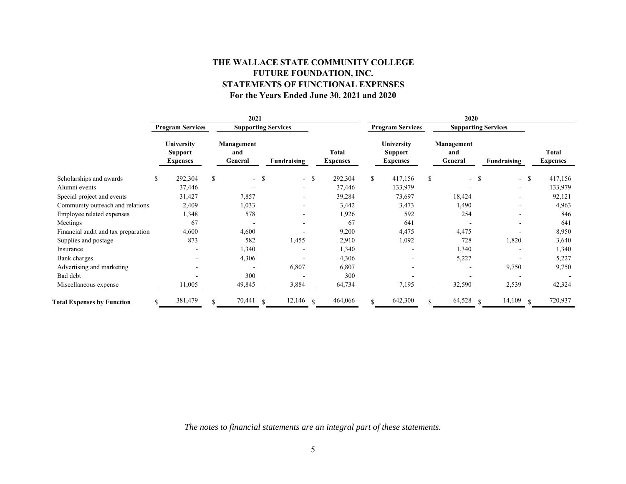## **THE WALLACE STATE COMMUNITY COLLEGE FUTURE FOUNDATION, INC. STATEMENTS OF FUNCTIONAL EXPENSES For the Years Ended June 30, 2021 and 2020**

|                                     | 2021 |                                                        |    |                              |               |             |                          |         | 2020                                     |                         |                            |        |               |                |               |         |                              |  |  |  |  |  |             |  |                          |
|-------------------------------------|------|--------------------------------------------------------|----|------------------------------|---------------|-------------|--------------------------|---------|------------------------------------------|-------------------------|----------------------------|--------|---------------|----------------|---------------|---------|------------------------------|--|--|--|--|--|-------------|--|--------------------------|
|                                     |      | <b>Program Services</b>                                |    | <b>Supporting Services</b>   |               |             |                          |         |                                          | <b>Program Services</b> | <b>Supporting Services</b> |        |               |                |               |         |                              |  |  |  |  |  |             |  |                          |
|                                     |      | <b>University</b><br><b>Support</b><br><b>Expenses</b> |    | Management<br>and<br>General |               | Fundraising | Total<br><b>Expenses</b> |         | University<br>Support<br><b>Expenses</b> |                         |                            |        |               |                |               |         | Management<br>and<br>General |  |  |  |  |  | Fundraising |  | Total<br><b>Expenses</b> |
| Scholarships and awards             | \$   | 292,304                                                | \$ | $-$ \$                       |               | $-$ \$      |                          | 292,304 | $\mathbb{S}$                             | 417,156                 | \$                         | - \$   |               | $- S$          |               | 417,156 |                              |  |  |  |  |  |             |  |                          |
| Alumni events                       |      | 37,446                                                 |    |                              |               |             |                          | 37,446  |                                          | 133,979                 |                            |        |               | $\overline{a}$ |               | 133,979 |                              |  |  |  |  |  |             |  |                          |
| Special project and events          |      | 31,427                                                 |    | 7,857                        |               |             |                          | 39,284  |                                          | 73,697                  |                            | 18,424 |               |                |               | 92,121  |                              |  |  |  |  |  |             |  |                          |
| Community outreach and relations    |      | 2,409                                                  |    | 1,033                        |               |             |                          | 3,442   |                                          | 3,473                   |                            | 1,490  |               |                |               | 4,963   |                              |  |  |  |  |  |             |  |                          |
| Employee related expenses           |      | 1,348                                                  |    | 578                          |               |             |                          | 1,926   |                                          | 592                     |                            | 254    |               |                |               | 846     |                              |  |  |  |  |  |             |  |                          |
| Meetings                            |      | 67                                                     |    |                              |               |             |                          | 67      |                                          | 641                     |                            |        |               |                |               | 641     |                              |  |  |  |  |  |             |  |                          |
| Financial audit and tax preparation |      | 4,600                                                  |    | 4,600                        |               |             |                          | 9,200   |                                          | 4,475                   |                            | 4,475  |               |                |               | 8,950   |                              |  |  |  |  |  |             |  |                          |
| Supplies and postage                |      | 873                                                    |    | 582                          |               | 1,455       |                          | 2,910   |                                          | 1,092                   |                            | 728    |               | 1,820          |               | 3,640   |                              |  |  |  |  |  |             |  |                          |
| Insurance                           |      |                                                        |    | 1,340                        |               |             |                          | 1,340   |                                          |                         |                            | 1,340  |               |                |               | 1,340   |                              |  |  |  |  |  |             |  |                          |
| Bank charges                        |      |                                                        |    | 4,306                        |               |             |                          | 4,306   |                                          |                         |                            | 5,227  |               |                |               | 5,227   |                              |  |  |  |  |  |             |  |                          |
| Advertising and marketing           |      |                                                        |    |                              |               | 6,807       |                          | 6,807   |                                          |                         |                            |        |               | 9,750          |               | 9,750   |                              |  |  |  |  |  |             |  |                          |
| Bad debt                            |      |                                                        |    | 300                          |               |             |                          | 300     |                                          |                         |                            |        |               |                |               |         |                              |  |  |  |  |  |             |  |                          |
| Miscellaneous expense               |      | 11,005                                                 |    | 49,845                       |               | 3,884       |                          | 64,734  |                                          | 7,195                   |                            | 32,590 |               | 2,539          |               | 42,324  |                              |  |  |  |  |  |             |  |                          |
| <b>Total Expenses by Function</b>   |      | 381,479                                                |    | 70,441                       | $\mathcal{S}$ | 12,146      | $\mathbf{\hat{S}}$       | 464,066 |                                          | 642,300                 |                            | 64,528 | $\mathcal{S}$ | 14,109         | $\mathcal{S}$ | 720,937 |                              |  |  |  |  |  |             |  |                          |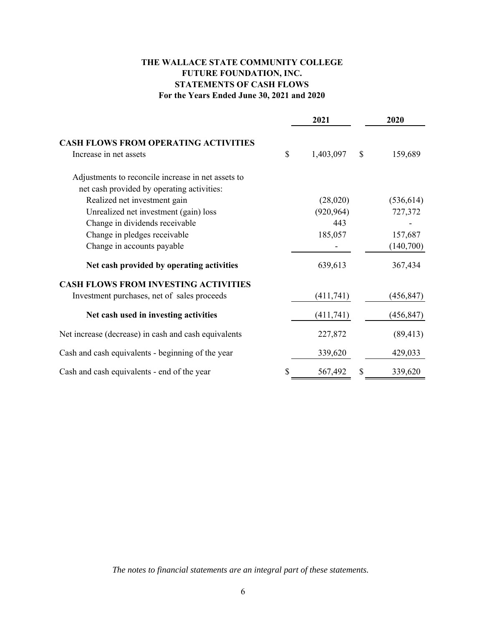## **THE WALLACE STATE COMMUNITY COLLEGE FUTURE FOUNDATION, INC. STATEMENTS OF CASH FLOWS For the Years Ended June 30, 2021 and 2020**

|                                                                       |    | 2021       |              | 2020       |
|-----------------------------------------------------------------------|----|------------|--------------|------------|
| <b>CASH FLOWS FROM OPERATING ACTIVITIES</b><br>Increase in net assets | \$ | 1,403,097  | $\mathbb{S}$ | 159,689    |
| Adjustments to reconcile increase in net assets to                    |    |            |              |            |
| net cash provided by operating activities:                            |    |            |              |            |
| Realized net investment gain                                          |    | (28,020)   |              | (536, 614) |
| Unrealized net investment (gain) loss                                 |    | (920, 964) |              | 727,372    |
| Change in dividends receivable                                        |    | 443        |              |            |
| Change in pledges receivable                                          |    | 185,057    |              | 157,687    |
| Change in accounts payable                                            |    |            |              | (140,700)  |
| Net cash provided by operating activities                             |    | 639,613    |              | 367,434    |
| <b>CASH FLOWS FROM INVESTING ACTIVITIES</b>                           |    |            |              |            |
| Investment purchases, net of sales proceeds                           |    | (411,741)  |              | (456, 847) |
| Net cash used in investing activities                                 |    | (411,741)  |              | (456, 847) |
| Net increase (decrease) in cash and cash equivalents                  |    | 227,872    |              | (89, 413)  |
| Cash and cash equivalents - beginning of the year                     |    | 339,620    |              | 429,033    |
| Cash and cash equivalents - end of the year                           | S  | 567,492    | \$           | 339,620    |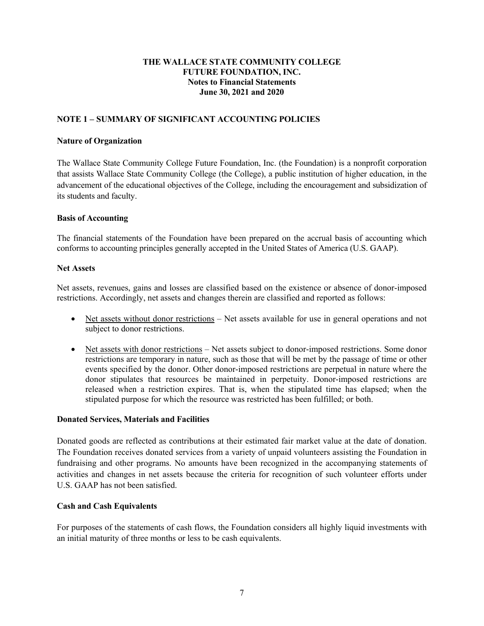## **NOTE 1 – SUMMARY OF SIGNIFICANT ACCOUNTING POLICIES**

#### **Nature of Organization**

The Wallace State Community College Future Foundation, Inc. (the Foundation) is a nonprofit corporation that assists Wallace State Community College (the College), a public institution of higher education, in the advancement of the educational objectives of the College, including the encouragement and subsidization of its students and faculty.

#### **Basis of Accounting**

The financial statements of the Foundation have been prepared on the accrual basis of accounting which conforms to accounting principles generally accepted in the United States of America (U.S. GAAP).

#### **Net Assets**

Net assets, revenues, gains and losses are classified based on the existence or absence of donor-imposed restrictions. Accordingly, net assets and changes therein are classified and reported as follows:

- Net assets without donor restrictions Net assets available for use in general operations and not subject to donor restrictions.
- Net assets with donor restrictions Net assets subject to donor-imposed restrictions. Some donor restrictions are temporary in nature, such as those that will be met by the passage of time or other events specified by the donor. Other donor-imposed restrictions are perpetual in nature where the donor stipulates that resources be maintained in perpetuity. Donor-imposed restrictions are released when a restriction expires. That is, when the stipulated time has elapsed; when the stipulated purpose for which the resource was restricted has been fulfilled; or both.

#### **Donated Services, Materials and Facilities**

Donated goods are reflected as contributions at their estimated fair market value at the date of donation. The Foundation receives donated services from a variety of unpaid volunteers assisting the Foundation in fundraising and other programs. No amounts have been recognized in the accompanying statements of activities and changes in net assets because the criteria for recognition of such volunteer efforts under U.S. GAAP has not been satisfied.

#### **Cash and Cash Equivalents**

For purposes of the statements of cash flows, the Foundation considers all highly liquid investments with an initial maturity of three months or less to be cash equivalents.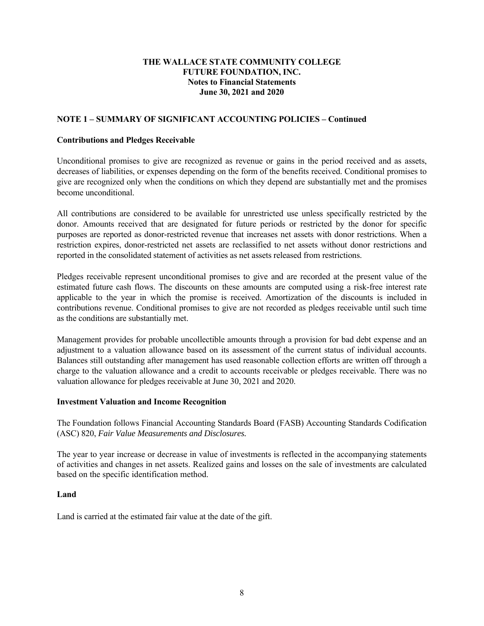## **NOTE 1 – SUMMARY OF SIGNIFICANT ACCOUNTING POLICIES – Continued**

#### **Contributions and Pledges Receivable**

Unconditional promises to give are recognized as revenue or gains in the period received and as assets, decreases of liabilities, or expenses depending on the form of the benefits received. Conditional promises to give are recognized only when the conditions on which they depend are substantially met and the promises become unconditional.

All contributions are considered to be available for unrestricted use unless specifically restricted by the donor. Amounts received that are designated for future periods or restricted by the donor for specific purposes are reported as donor-restricted revenue that increases net assets with donor restrictions. When a restriction expires, donor-restricted net assets are reclassified to net assets without donor restrictions and reported in the consolidated statement of activities as net assets released from restrictions.

Pledges receivable represent unconditional promises to give and are recorded at the present value of the estimated future cash flows. The discounts on these amounts are computed using a risk-free interest rate applicable to the year in which the promise is received. Amortization of the discounts is included in contributions revenue. Conditional promises to give are not recorded as pledges receivable until such time as the conditions are substantially met.

Management provides for probable uncollectible amounts through a provision for bad debt expense and an adjustment to a valuation allowance based on its assessment of the current status of individual accounts. Balances still outstanding after management has used reasonable collection efforts are written off through a charge to the valuation allowance and a credit to accounts receivable or pledges receivable. There was no valuation allowance for pledges receivable at June 30, 2021 and 2020.

#### **Investment Valuation and Income Recognition**

The Foundation follows Financial Accounting Standards Board (FASB) Accounting Standards Codification (ASC) 820, *Fair Value Measurements and Disclosures.*

The year to year increase or decrease in value of investments is reflected in the accompanying statements of activities and changes in net assets. Realized gains and losses on the sale of investments are calculated based on the specific identification method.

#### **Land**

Land is carried at the estimated fair value at the date of the gift.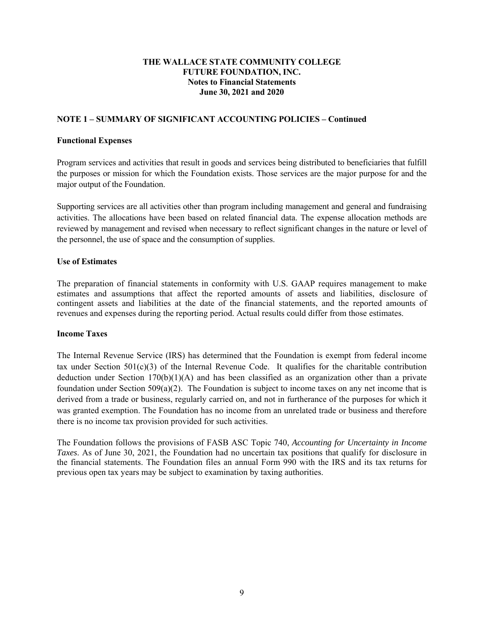## **NOTE 1 – SUMMARY OF SIGNIFICANT ACCOUNTING POLICIES – Continued**

#### **Functional Expenses**

Program services and activities that result in goods and services being distributed to beneficiaries that fulfill the purposes or mission for which the Foundation exists. Those services are the major purpose for and the major output of the Foundation.

Supporting services are all activities other than program including management and general and fundraising activities. The allocations have been based on related financial data. The expense allocation methods are reviewed by management and revised when necessary to reflect significant changes in the nature or level of the personnel, the use of space and the consumption of supplies.

#### **Use of Estimates**

The preparation of financial statements in conformity with U.S. GAAP requires management to make estimates and assumptions that affect the reported amounts of assets and liabilities, disclosure of contingent assets and liabilities at the date of the financial statements, and the reported amounts of revenues and expenses during the reporting period. Actual results could differ from those estimates.

#### **Income Taxes**

The Internal Revenue Service (IRS) has determined that the Foundation is exempt from federal income tax under Section  $501(c)(3)$  of the Internal Revenue Code. It qualifies for the charitable contribution deduction under Section  $170(b)(1)(A)$  and has been classified as an organization other than a private foundation under Section 509(a)(2). The Foundation is subject to income taxes on any net income that is derived from a trade or business, regularly carried on, and not in furtherance of the purposes for which it was granted exemption. The Foundation has no income from an unrelated trade or business and therefore there is no income tax provision provided for such activities.

The Foundation follows the provisions of FASB ASC Topic 740, *Accounting for Uncertainty in Income Taxes*. As of June 30, 2021, the Foundation had no uncertain tax positions that qualify for disclosure in the financial statements. The Foundation files an annual Form 990 with the IRS and its tax returns for previous open tax years may be subject to examination by taxing authorities.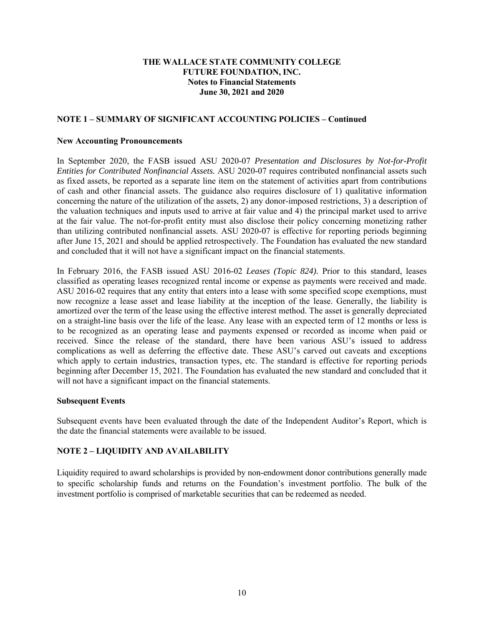#### **NOTE 1 – SUMMARY OF SIGNIFICANT ACCOUNTING POLICIES – Continued**

#### **New Accounting Pronouncements**

In September 2020, the FASB issued ASU 2020-07 *Presentation and Disclosures by Not-for-Profit Entities for Contributed Nonfinancial Assets.* ASU 2020-07 requires contributed nonfinancial assets such as fixed assets, be reported as a separate line item on the statement of activities apart from contributions of cash and other financial assets. The guidance also requires disclosure of 1) qualitative information concerning the nature of the utilization of the assets, 2) any donor-imposed restrictions, 3) a description of the valuation techniques and inputs used to arrive at fair value and 4) the principal market used to arrive at the fair value. The not-for-profit entity must also disclose their policy concerning monetizing rather than utilizing contributed nonfinancial assets. ASU 2020-07 is effective for reporting periods beginning after June 15, 2021 and should be applied retrospectively. The Foundation has evaluated the new standard and concluded that it will not have a significant impact on the financial statements.

In February 2016, the FASB issued ASU 2016-02 *Leases (Topic 824).* Prior to this standard, leases classified as operating leases recognized rental income or expense as payments were received and made. ASU 2016-02 requires that any entity that enters into a lease with some specified scope exemptions, must now recognize a lease asset and lease liability at the inception of the lease. Generally, the liability is amortized over the term of the lease using the effective interest method. The asset is generally depreciated on a straight-line basis over the life of the lease. Any lease with an expected term of 12 months or less is to be recognized as an operating lease and payments expensed or recorded as income when paid or received. Since the release of the standard, there have been various ASU's issued to address complications as well as deferring the effective date. These ASU's carved out caveats and exceptions which apply to certain industries, transaction types, etc. The standard is effective for reporting periods beginning after December 15, 2021. The Foundation has evaluated the new standard and concluded that it will not have a significant impact on the financial statements.

#### **Subsequent Events**

Subsequent events have been evaluated through the date of the Independent Auditor's Report, which is the date the financial statements were available to be issued.

#### **NOTE 2 – LIQUIDITY AND AVAILABILITY**

Liquidity required to award scholarships is provided by non-endowment donor contributions generally made to specific scholarship funds and returns on the Foundation's investment portfolio. The bulk of the investment portfolio is comprised of marketable securities that can be redeemed as needed.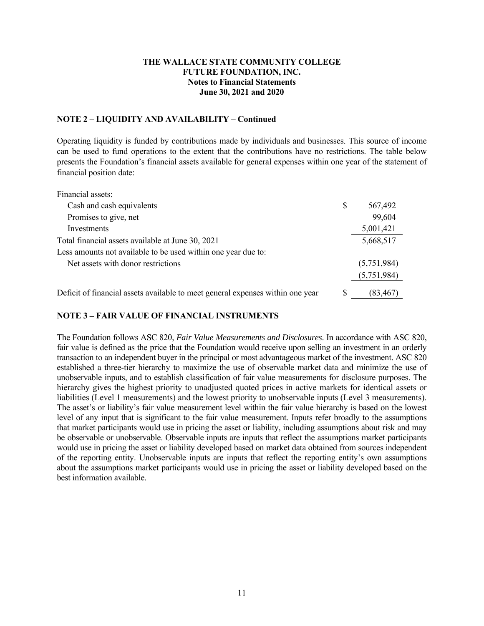#### **NOTE 2 – LIQUIDITY AND AVAILABILITY – Continued**

Operating liquidity is funded by contributions made by individuals and businesses. This source of income can be used to fund operations to the extent that the contributions have no restrictions. The table below presents the Foundation's financial assets available for general expenses within one year of the statement of financial position date:

| Financial assets:                                                              |                |
|--------------------------------------------------------------------------------|----------------|
| Cash and cash equivalents                                                      | \$<br>567,492  |
| Promises to give, net                                                          | 99,604         |
| Investments                                                                    | 5,001,421      |
| Total financial assets available at June 30, 2021                              | 5,668,517      |
| Less amounts not available to be used within one year due to:                  |                |
| Net assets with donor restrictions                                             | (5,751,984)    |
|                                                                                | (5,751,984)    |
| Deficit of financial assets available to meet general expenses within one year | \$<br>(83,467) |

## **NOTE 3 – FAIR VALUE OF FINANCIAL INSTRUMENTS**

The Foundation follows ASC 820, *Fair Value Measurements and Disclosures*. In accordance with ASC 820, fair value is defined as the price that the Foundation would receive upon selling an investment in an orderly transaction to an independent buyer in the principal or most advantageous market of the investment. ASC 820 established a three-tier hierarchy to maximize the use of observable market data and minimize the use of unobservable inputs, and to establish classification of fair value measurements for disclosure purposes. The hierarchy gives the highest priority to unadjusted quoted prices in active markets for identical assets or liabilities (Level 1 measurements) and the lowest priority to unobservable inputs (Level 3 measurements). The asset's or liability's fair value measurement level within the fair value hierarchy is based on the lowest level of any input that is significant to the fair value measurement. Inputs refer broadly to the assumptions that market participants would use in pricing the asset or liability, including assumptions about risk and may be observable or unobservable. Observable inputs are inputs that reflect the assumptions market participants would use in pricing the asset or liability developed based on market data obtained from sources independent of the reporting entity. Unobservable inputs are inputs that reflect the reporting entity's own assumptions about the assumptions market participants would use in pricing the asset or liability developed based on the best information available.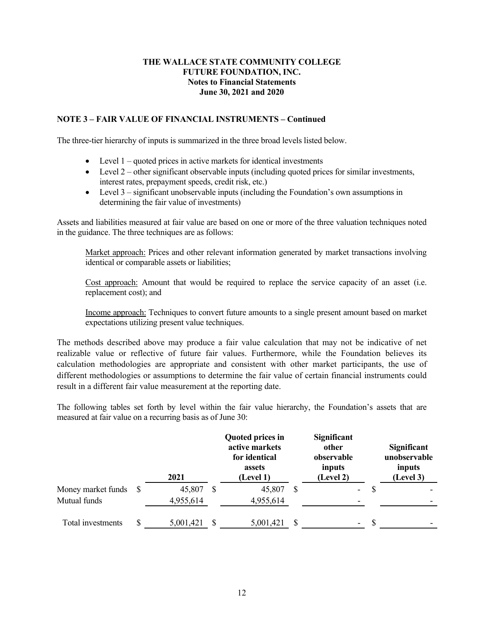## **NOTE 3 – FAIR VALUE OF FINANCIAL INSTRUMENTS – Continued**

The three-tier hierarchy of inputs is summarized in the three broad levels listed below.

- $\bullet$  Level 1 quoted prices in active markets for identical investments
- $\bullet$  Level 2 other significant observable inputs (including quoted prices for similar investments, interest rates, prepayment speeds, credit risk, etc.)
- Eevel  $3$  significant unobservable inputs (including the Foundation's own assumptions in determining the fair value of investments)

Assets and liabilities measured at fair value are based on one or more of the three valuation techniques noted in the guidance. The three techniques are as follows:

Market approach: Prices and other relevant information generated by market transactions involving identical or comparable assets or liabilities;

Cost approach: Amount that would be required to replace the service capacity of an asset (i.e. replacement cost); and

Income approach: Techniques to convert future amounts to a single present amount based on market expectations utilizing present value techniques.

The methods described above may produce a fair value calculation that may not be indicative of net realizable value or reflective of future fair values. Furthermore, while the Foundation believes its calculation methodologies are appropriate and consistent with other market participants, the use of different methodologies or assumptions to determine the fair value of certain financial instruments could result in a different fair value measurement at the reporting date.

The following tables set forth by level within the fair value hierarchy, the Foundation's assets that are measured at fair value on a recurring basis as of June 30:

|                       |   | 2021      |    | <b>Quoted prices in</b><br>active markets<br>for identical<br>assets<br>(Level 1) |    | Significant<br>other<br>observable<br>inputs<br>(Level 2) |    | <b>Significant</b><br>unobservable<br>inputs<br>(Level 3) |
|-----------------------|---|-----------|----|-----------------------------------------------------------------------------------|----|-----------------------------------------------------------|----|-----------------------------------------------------------|
| Money market funds \$ |   | 45,807    | S  | 45,807                                                                            |    | $\overline{\phantom{a}}$                                  | S  |                                                           |
| Mutual funds          |   | 4,955,614 |    | 4,955,614                                                                         |    |                                                           |    |                                                           |
| Total investments     | S | 5,001,421 | -S | 5,001,421                                                                         | -S | $\overline{\phantom{a}}$                                  | -S |                                                           |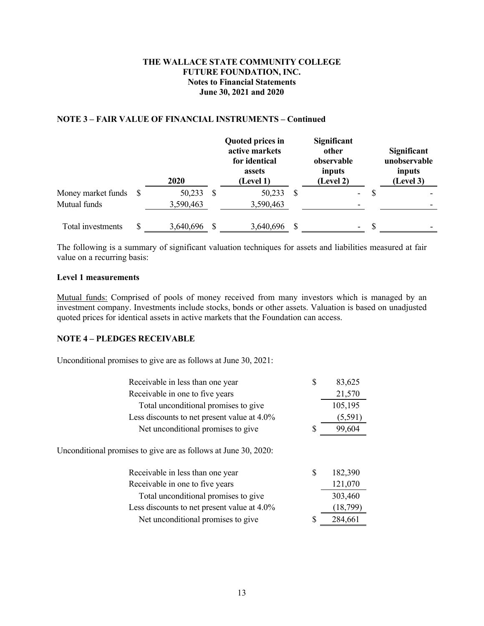#### **NOTE 3 – FAIR VALUE OF FINANCIAL INSTRUMENTS – Continued**

|                    | <b>2020</b> | Quoted prices in<br>active markets<br>for identical<br>assets<br>(Level 1) | Significant<br>other<br>observable<br>inputs<br>(Level 2) |               | Significant<br>unobservable<br>inputs<br>(Level 3) |
|--------------------|-------------|----------------------------------------------------------------------------|-----------------------------------------------------------|---------------|----------------------------------------------------|
| Money market funds | 50,233      | 50,233                                                                     | -                                                         |               |                                                    |
| Mutual funds       | 3,590,463   | 3,590,463                                                                  | -                                                         |               |                                                    |
| Total investments  | 3,640,696   | 3,640,696                                                                  | -                                                         | <sup>\$</sup> |                                                    |

The following is a summary of significant valuation techniques for assets and liabilities measured at fair value on a recurring basis:

#### **Level 1 measurements**

Mutual funds: Comprised of pools of money received from many investors which is managed by an investment company. Investments include stocks, bonds or other assets. Valuation is based on unadjusted quoted prices for identical assets in active markets that the Foundation can access.

#### **NOTE 4 – PLEDGES RECEIVABLE**

Unconditional promises to give are as follows at June 30, 2021:

| Receivable in less than one year                                | \$ | 83,625  |  |  |  |  |
|-----------------------------------------------------------------|----|---------|--|--|--|--|
| Receivable in one to five years                                 |    | 21,570  |  |  |  |  |
| Total unconditional promises to give                            |    | 105,195 |  |  |  |  |
| Less discounts to net present value at 4.0%                     |    | (5,591) |  |  |  |  |
| Net unconditional promises to give                              | S  | 99,604  |  |  |  |  |
| Unconditional promises to give are as follows at June 30, 2020: |    |         |  |  |  |  |
| Receivable in less than one year                                | S  | 182,390 |  |  |  |  |
| Receivable in one to five years                                 |    | 121,070 |  |  |  |  |
| Total unconditional promises to give                            |    | 303,460 |  |  |  |  |
|                                                                 |    |         |  |  |  |  |

|                                             | .        |
|---------------------------------------------|----------|
| Less discounts to net present value at 4.0% | (18,799) |
| Net unconditional promises to give          | 284,661  |
|                                             |          |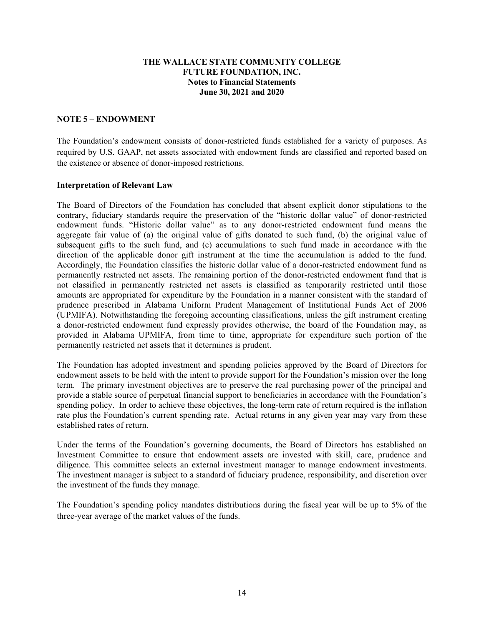## **NOTE 5 – ENDOWMENT**

The Foundation's endowment consists of donor-restricted funds established for a variety of purposes. As required by U.S. GAAP, net assets associated with endowment funds are classified and reported based on the existence or absence of donor-imposed restrictions.

#### **Interpretation of Relevant Law**

The Board of Directors of the Foundation has concluded that absent explicit donor stipulations to the contrary, fiduciary standards require the preservation of the "historic dollar value" of donor-restricted endowment funds. "Historic dollar value" as to any donor-restricted endowment fund means the aggregate fair value of (a) the original value of gifts donated to such fund, (b) the original value of subsequent gifts to the such fund, and (c) accumulations to such fund made in accordance with the direction of the applicable donor gift instrument at the time the accumulation is added to the fund. Accordingly, the Foundation classifies the historic dollar value of a donor-restricted endowment fund as permanently restricted net assets. The remaining portion of the donor-restricted endowment fund that is not classified in permanently restricted net assets is classified as temporarily restricted until those amounts are appropriated for expenditure by the Foundation in a manner consistent with the standard of prudence prescribed in Alabama Uniform Prudent Management of Institutional Funds Act of 2006 (UPMIFA). Notwithstanding the foregoing accounting classifications, unless the gift instrument creating a donor-restricted endowment fund expressly provides otherwise, the board of the Foundation may, as provided in Alabama UPMIFA, from time to time, appropriate for expenditure such portion of the permanently restricted net assets that it determines is prudent.

The Foundation has adopted investment and spending policies approved by the Board of Directors for endowment assets to be held with the intent to provide support for the Foundation's mission over the long term. The primary investment objectives are to preserve the real purchasing power of the principal and provide a stable source of perpetual financial support to beneficiaries in accordance with the Foundation's spending policy. In order to achieve these objectives, the long-term rate of return required is the inflation rate plus the Foundation's current spending rate. Actual returns in any given year may vary from these established rates of return.

Under the terms of the Foundation's governing documents, the Board of Directors has established an Investment Committee to ensure that endowment assets are invested with skill, care, prudence and diligence. This committee selects an external investment manager to manage endowment investments. The investment manager is subject to a standard of fiduciary prudence, responsibility, and discretion over the investment of the funds they manage.

The Foundation's spending policy mandates distributions during the fiscal year will be up to 5% of the three-year average of the market values of the funds.